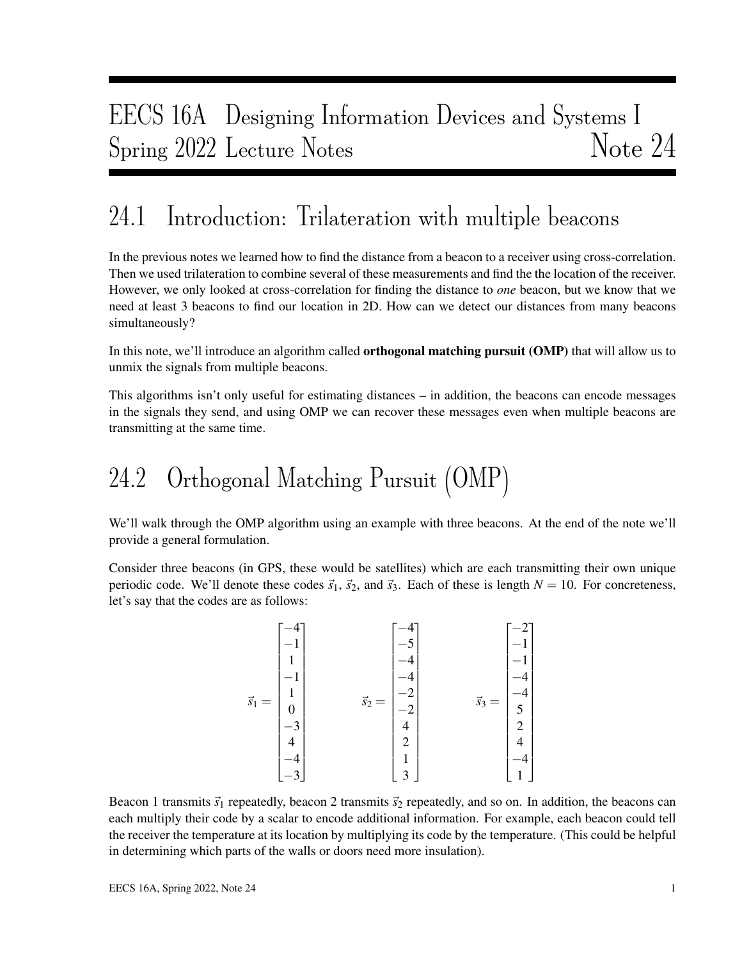# EECS 16A Designing Information Devices and Systems I Spring 2022 Lecture Notes Note 24

## 24.1 Introduction: Trilateration with multiple beacons

In the previous notes we learned how to find the distance from a beacon to a receiver using cross-correlation. Then we used trilateration to combine several of these measurements and find the the location of the receiver. However, we only looked at cross-correlation for finding the distance to *one* beacon, but we know that we need at least 3 beacons to find our location in 2D. How can we detect our distances from many beacons simultaneously?

In this note, we'll introduce an algorithm called **orthogonal matching pursuit (OMP)** that will allow us to unmix the signals from multiple beacons.

This algorithms isn't only useful for estimating distances – in addition, the beacons can encode messages in the signals they send, and using OMP we can recover these messages even when multiple beacons are transmitting at the same time.

# 24.2 Orthogonal Matching Pursuit (OMP)

We'll walk through the OMP algorithm using an example with three beacons. At the end of the note we'll provide a general formulation.

Consider three beacons (in GPS, these would be satellites) which are each transmitting their own unique periodic code. We'll denote these codes  $\vec{s}_1$ ,  $\vec{s}_2$ , and  $\vec{s}_3$ . Each of these is length  $N = 10$ . For concreteness, let's say that the codes are as follows:

|                    | -4             |                    | -4             |                    |                |
|--------------------|----------------|--------------------|----------------|--------------------|----------------|
| $\vec{s}_1$<br>$=$ |                | $\vec{s}_2$<br>$=$ |                | $\vec{s}_3$<br>$=$ |                |
|                    | 1              |                    |                |                    |                |
|                    |                |                    |                |                    |                |
|                    | 1              |                    | ◠              |                    |                |
|                    | $\overline{0}$ |                    |                |                    | 5              |
|                    |                |                    | $\overline{4}$ |                    | $\overline{c}$ |
|                    | 4              |                    | $\overline{2}$ |                    |                |
|                    |                |                    | $\mathbf{1}$   |                    |                |
|                    |                |                    | 3              |                    |                |

Beacon 1 transmits  $\vec{s}_1$  repeatedly, beacon 2 transmits  $\vec{s}_2$  repeatedly, and so on. In addition, the beacons can each multiply their code by a scalar to encode additional information. For example, each beacon could tell the receiver the temperature at its location by multiplying its code by the temperature. (This could be helpful in determining which parts of the walls or doors need more insulation).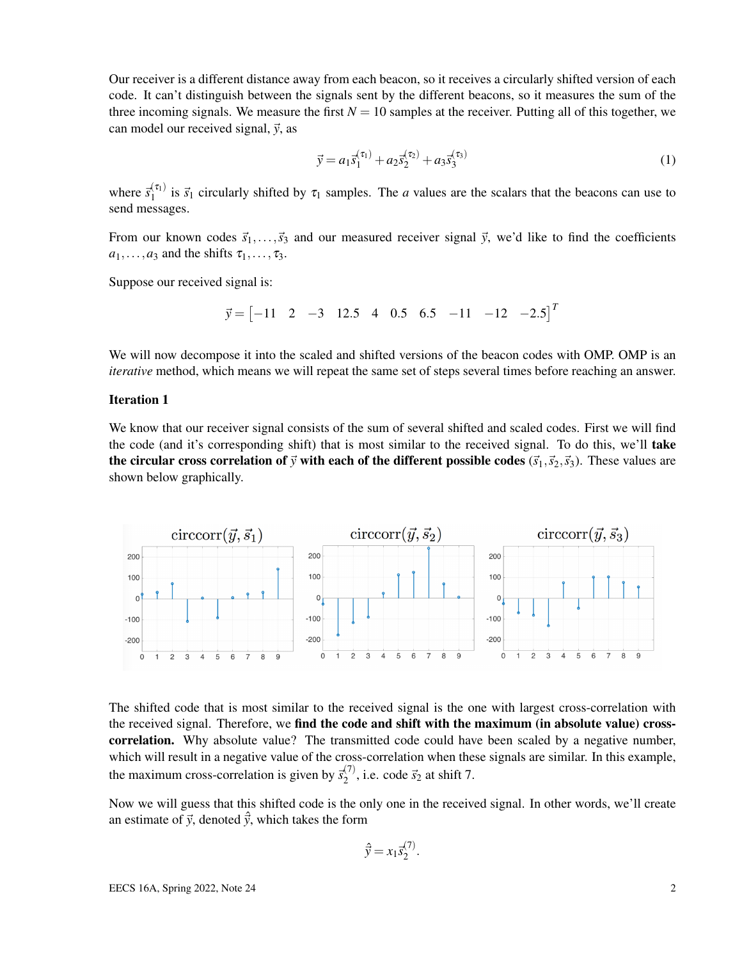Our receiver is a different distance away from each beacon, so it receives a circularly shifted version of each code. It can't distinguish between the signals sent by the different beacons, so it measures the sum of the three incoming signals. We measure the first  $N = 10$  samples at the receiver. Putting all of this together, we can model our received signal,  $\vec{y}$ , as

$$
\vec{y} = a_1 \vec{s}_1^{(\tau_1)} + a_2 \vec{s}_2^{(\tau_2)} + a_3 \vec{s}_3^{(\tau_3)} \tag{1}
$$

where  $\vec{s}_1^{(\tau_1)}$  $\frac{d^{(1)}}{1}$  is  $\vec{s}_1$  circularly shifted by  $\tau_1$  samples. The *a* values are the scalars that the beacons can use to send messages.

From our known codes  $\vec{s}_1,\ldots,\vec{s}_3$  and our measured receiver signal  $\vec{y}$ , we'd like to find the coefficients  $a_1, \ldots, a_3$  and the shifts  $\tau_1, \ldots, \tau_3$ .

Suppose our received signal is:

$$
\vec{y} = \begin{bmatrix} -11 & 2 & -3 & 12.5 & 4 & 0.5 & 6.5 & -11 & -12 & -2.5 \end{bmatrix}^T
$$

We will now decompose it into the scaled and shifted versions of the beacon codes with OMP. OMP is an *iterative* method, which means we will repeat the same set of steps several times before reaching an answer.

### Iteration 1

We know that our receiver signal consists of the sum of several shifted and scaled codes. First we will find the code (and it's corresponding shift) that is most similar to the received signal. To do this, we'll **take** the circular cross correlation of  $\vec{y}$  with each of the different possible codes  $(\vec{s}_1, \vec{s}_2, \vec{s}_3)$ . These values are shown below graphically.



The shifted code that is most similar to the received signal is the one with largest cross-correlation with the received signal. Therefore, we find the code and shift with the maximum (in absolute value) crosscorrelation. Why absolute value? The transmitted code could have been scaled by a negative number, which will result in a negative value of the cross-correlation when these signals are similar. In this example, the maximum cross-correlation is given by  $\vec{s}_2^{(7)}$  $^{(1)}_2$ , i.e. code  $\vec{s}_2$  at shift 7.

Now we will guess that this shifted code is the only one in the received signal. In other words, we'll create an estimate of  $\vec{y}$ , denoted  $\hat{\vec{y}}$ , which takes the form

$$
\hat{\vec{y}} = x_1 \vec{s}_2^{(7)}.
$$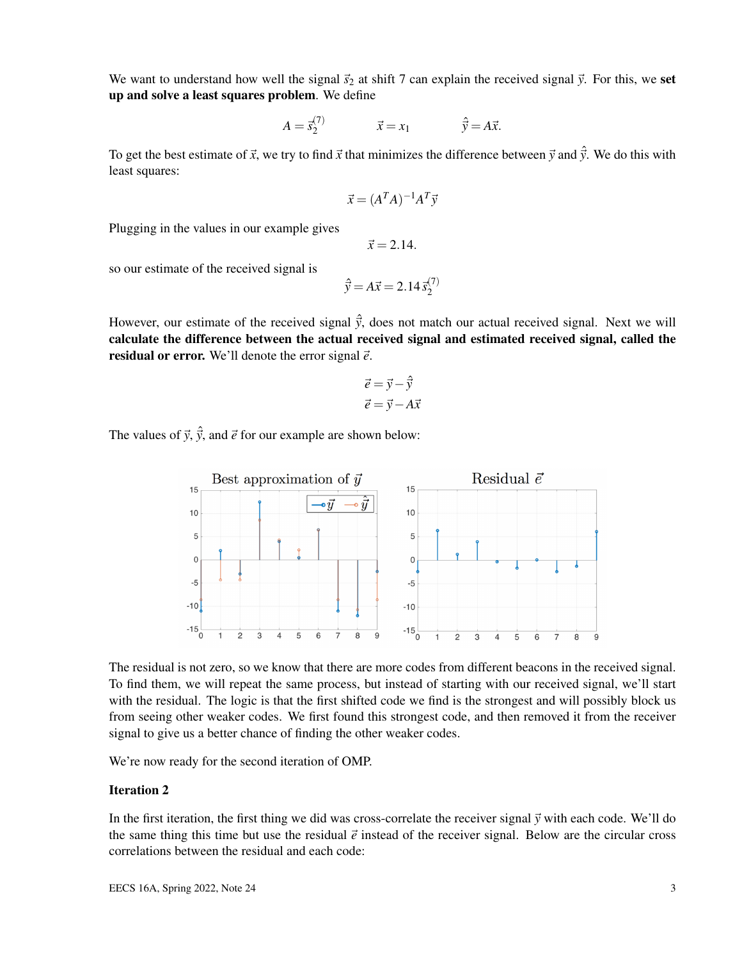We want to understand how well the signal  $\vec{s}_2$  at shift 7 can explain the received signal  $\vec{y}$ . For this, we set up and solve a least squares problem. We define

$$
A = \vec{s}_2^{(7)} \qquad \qquad \vec{x} = x_1 \qquad \qquad \hat{\vec{y}} = A\vec{x}.
$$

To get the best estimate of  $\vec{x}$ , we try to find  $\vec{x}$  that minimizes the difference between  $\vec{y}$  and  $\hat{\vec{y}}$ . We do this with least squares:

$$
\vec{x} = (A^T A)^{-1} A^T \vec{y}
$$

Plugging in the values in our example gives

 $\vec{x} = 2.14.$ 

so our estimate of the received signal is

$$
\hat{\vec{y}} = A\vec{x} = 2.14 \,\vec{s}_2^{(7)}
$$

However, our estimate of the received signal  $\hat{y}$ , does not match our actual received signal. Next we will calculate the difference between the actual received signal and estimated received signal, called the **residual or error.** We'll denote the error signal  $\vec{e}$ .

$$
\vec{e} = \vec{y} - \hat{\vec{y}}
$$

$$
\vec{e} = \vec{y} - A\vec{x}
$$

The values of  $\vec{y}$ ,  $\hat{\vec{y}}$ , and  $\vec{e}$  for our example are shown below:



The residual is not zero, so we know that there are more codes from different beacons in the received signal. To find them, we will repeat the same process, but instead of starting with our received signal, we'll start with the residual. The logic is that the first shifted code we find is the strongest and will possibly block us from seeing other weaker codes. We first found this strongest code, and then removed it from the receiver signal to give us a better chance of finding the other weaker codes.

We're now ready for the second iteration of OMP.

#### Iteration 2

In the first iteration, the first thing we did was cross-correlate the receiver signal  $\vec{y}$  with each code. We'll do the same thing this time but use the residual  $\vec{e}$  instead of the receiver signal. Below are the circular cross correlations between the residual and each code: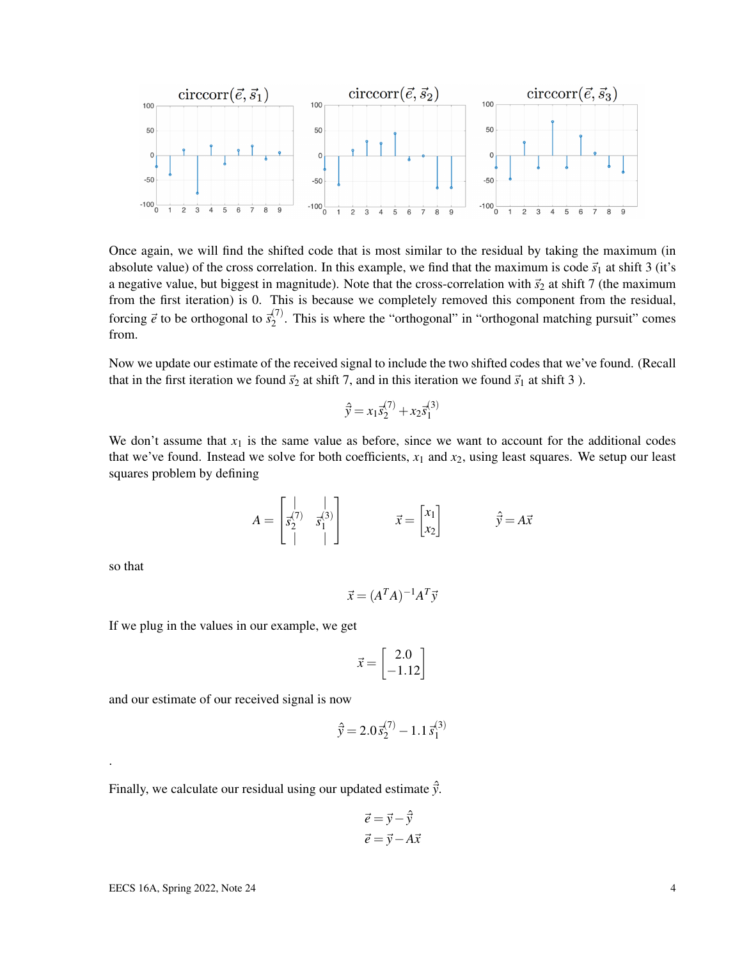

Once again, we will find the shifted code that is most similar to the residual by taking the maximum (in absolute value) of the cross correlation. In this example, we find that the maximum is code  $\vec{s}_1$  at shift 3 (it's a negative value, but biggest in magnitude). Note that the cross-correlation with  $\vec{s}_2$  at shift 7 (the maximum from the first iteration) is 0. This is because we completely removed this component from the residual, forcing  $\vec{e}$  to be orthogonal to  $\vec{s}_2^{(7)}$  $2^{(1)}$ . This is where the "orthogonal" in "orthogonal matching pursuit" comes from.

Now we update our estimate of the received signal to include the two shifted codes that we've found. (Recall that in the first iteration we found  $\vec{s}_2$  at shift 7, and in this iteration we found  $\vec{s}_1$  at shift 3 ).

$$
\hat{\vec{y}} = x_1 \vec{s}_2^{(7)} + x_2 \vec{s}_1^{(3)}
$$

We don't assume that  $x_1$  is the same value as before, since we want to account for the additional codes that we've found. Instead we solve for both coefficients,  $x_1$  and  $x_2$ , using least squares. We setup our least squares problem by defining

$$
A = \begin{bmatrix} | & | \\ \overline{s}_2^{(7)} & \overline{s}_1^{(3)} \\ | & | & \end{bmatrix} \qquad \qquad \overline{x} = \begin{bmatrix} x_1 \\ x_2 \end{bmatrix} \qquad \qquad \widehat{\overline{y}} = A\overline{x}
$$

so that

.

 $\vec{x} = (A^T A)^{-1} A^T \vec{y}$ 

If we plug in the values in our example, we get

$$
\vec{x} = \begin{bmatrix} 2.0 \\ -1.12 \end{bmatrix}
$$

and our estimate of our received signal is now

$$
\hat{\vec{y}} = 2.0 \, \vec{s}_2^{(7)} - 1.1 \, \vec{s}_1^{(3)}
$$

Finally, we calculate our residual using our updated estimate  $\hat{y}$ .

$$
\vec{e} = \vec{y} - \hat{\vec{y}}
$$

$$
\vec{e} = \vec{y} - A\vec{x}
$$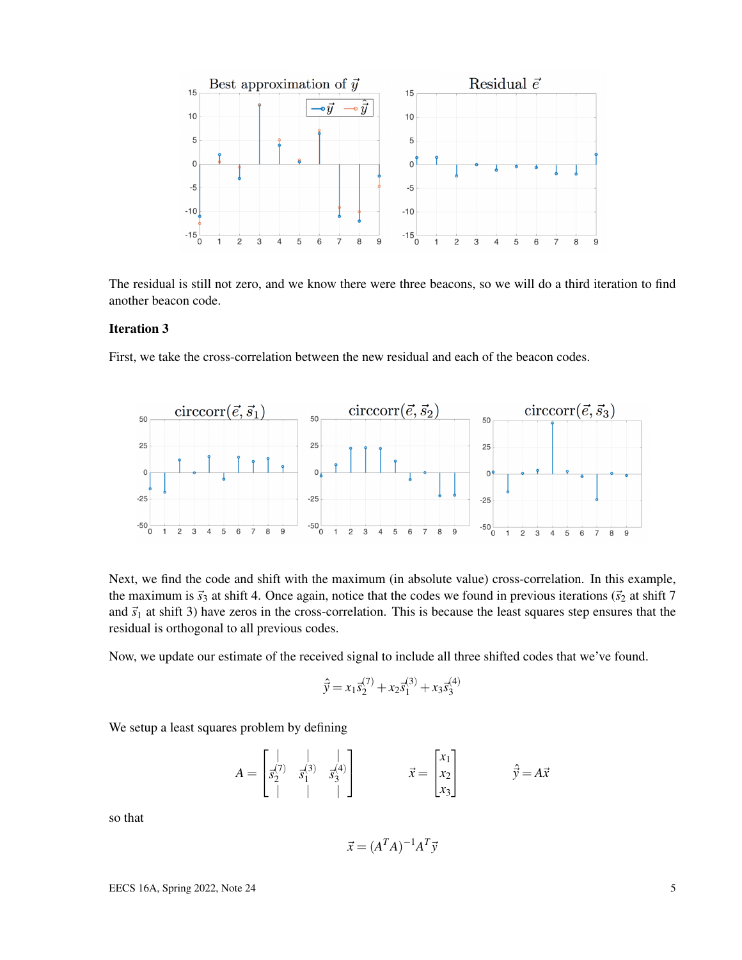

The residual is still not zero, and we know there were three beacons, so we will do a third iteration to find another beacon code.

### Iteration 3

First, we take the cross-correlation between the new residual and each of the beacon codes.



Next, we find the code and shift with the maximum (in absolute value) cross-correlation. In this example, the maximum is  $\vec{s}_3$  at shift 4. Once again, notice that the codes we found in previous iterations ( $\vec{s}_2$  at shift 7 and  $\vec{s}_1$  at shift 3) have zeros in the cross-correlation. This is because the least squares step ensures that the residual is orthogonal to all previous codes.

Now, we update our estimate of the received signal to include all three shifted codes that we've found.

$$
\hat{\vec{y}} = x_1 \vec{s}_2^{(7)} + x_2 \vec{s}_1^{(3)} + x_3 \vec{s}_3^{(4)}
$$

We setup a least squares problem by defining

$$
A = \begin{bmatrix} | & | & | \\ \bar{x}_2^{(7)} & \bar{x}_1^{(3)} & \bar{x}_3^{(4)} \\ | & | & | & | \end{bmatrix} \qquad \qquad \vec{x} = \begin{bmatrix} x_1 \\ x_2 \\ x_3 \end{bmatrix} \qquad \qquad \hat{\vec{y}} = A\vec{x}
$$

so that

$$
\vec{x} = (A^T A)^{-1} A^T \vec{y}
$$

EECS 16A, Spring 2022, Note 24 5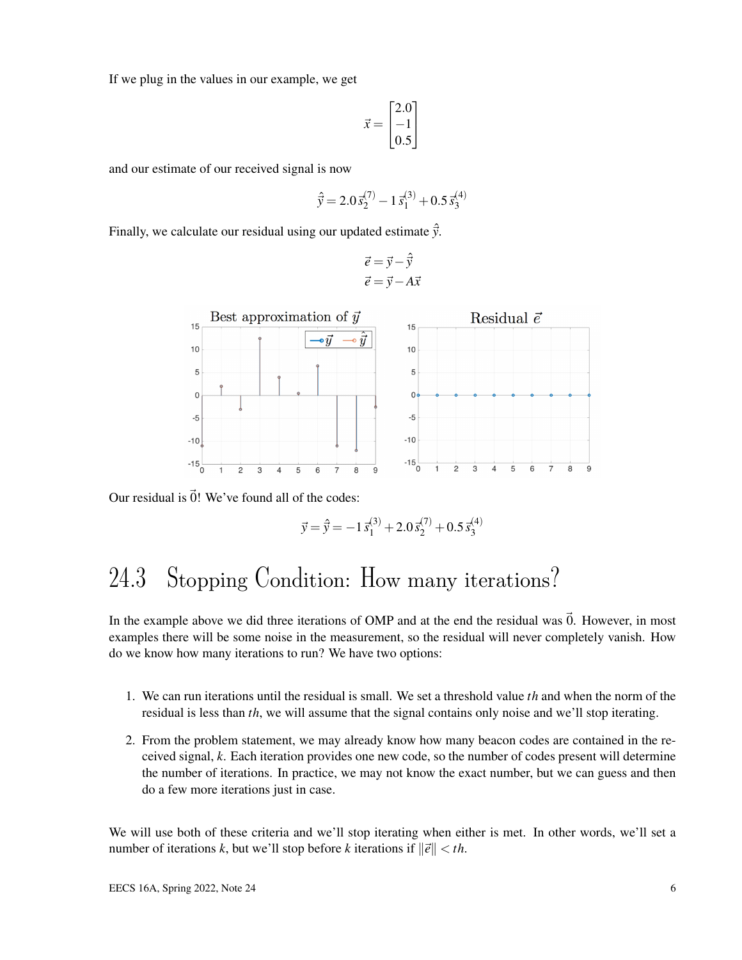If we plug in the values in our example, we get

$$
\vec{x} = \begin{bmatrix} 2.0 \\ -1 \\ 0.5 \end{bmatrix}
$$

and our estimate of our received signal is now

$$
\hat{\vec{y}} = 2.0 \, \vec{s}_2^{(7)} - 1 \, \vec{s}_1^{(3)} + 0.5 \, \vec{s}_3^{(4)}
$$

Finally, we calculate our residual using our updated estimate  $\vec{y}$ .

$$
\vec{e} = \vec{y} - \hat{\vec{y}}
$$

$$
\vec{e} = \vec{y} - A\vec{x}
$$



Our residual is  $\vec{0}$ ! We've found all of the codes:

$$
\vec{y} = \hat{\vec{y}} = -1\,\vec{s}_1^{(3)} + 2.0\,\vec{s}_2^{(7)} + 0.5\,\vec{s}_3^{(4)}
$$

## 24.3 Stopping Condition: How many iterations?

In the example above we did three iterations of OMP and at the end the residual was  $\vec{0}$ . However, in most examples there will be some noise in the measurement, so the residual will never completely vanish. How do we know how many iterations to run? We have two options:

- 1. We can run iterations until the residual is small. We set a threshold value *th* and when the norm of the residual is less than *th*, we will assume that the signal contains only noise and we'll stop iterating.
- 2. From the problem statement, we may already know how many beacon codes are contained in the received signal, *k*. Each iteration provides one new code, so the number of codes present will determine the number of iterations. In practice, we may not know the exact number, but we can guess and then do a few more iterations just in case.

We will use both of these criteria and we'll stop iterating when either is met. In other words, we'll set a number of iterations *k*, but we'll stop before *k* iterations if  $\|\vec{e}\| < th$ .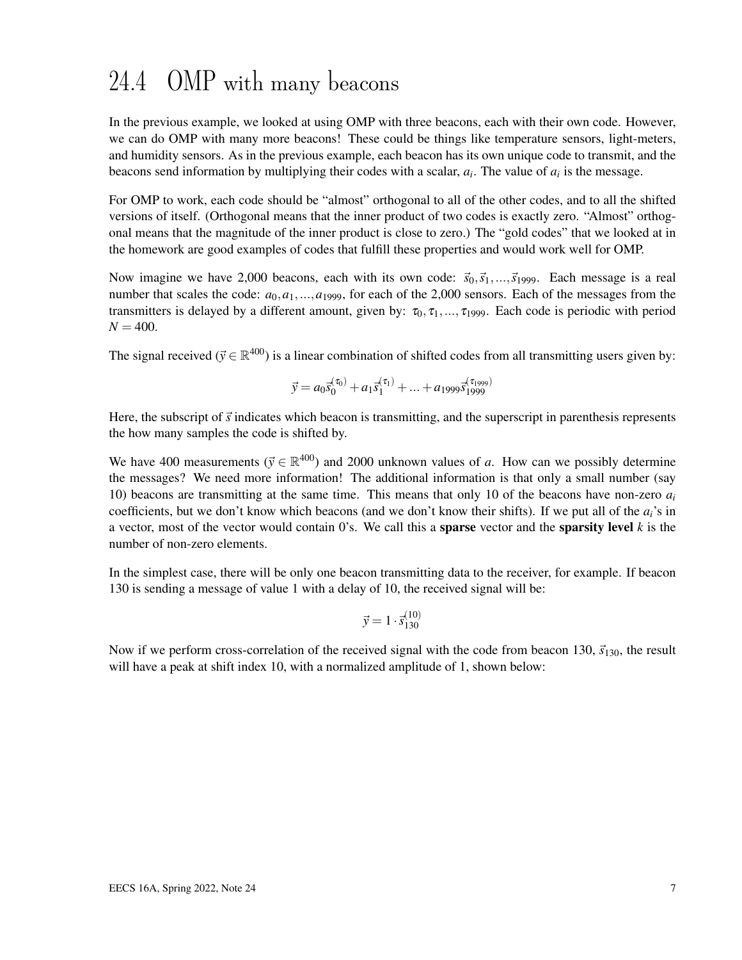# 24.4 OMP with many beacons

In the previous example, we looked at using OMP with three beacons, each with their own code. However, we can do OMP with many more beacons! These could be things like temperature sensors, light-meters, and humidity sensors. As in the previous example, each beacon has its own unique code to transmit, and the beacons send information by multiplying their codes with a scalar,  $a_i$ . The value of  $a_i$  is the message.

For OMP to work, each code should be "almost" orthogonal to all of the other codes, and to all the shifted versions of itself. (Orthogonal means that the inner product of two codes is exactly zero. "Almost" orthogonal means that the magnitude of the inner product is close to zero.) The "gold codes" that we looked at in the homework are good examples of codes that fulfill these properties and would work well for OMP.

Now imagine we have 2,000 beacons, each with its own code:  $\vec{s}_0, \vec{s}_1, \dots, \vec{s}_{1999}$ . Each message is a real number that scales the code:  $a_0$ ,  $a_1$ ,..., $a_1$ <sub>999</sub>, for each of the 2,000 sensors. Each of the messages from the transmitters is delayed by a different amount, given by:  $\tau_0$ ,  $\tau_1$ ,...,  $\tau_{1999}$ . Each code is periodic with period  $N = 400$ .

The signal received ( $\vec{y} \in \mathbb{R}^{400}$ ) is a linear combination of shifted codes from all transmitting users given by:

$$
\vec{y} = a_0 \vec{s}_0^{(\tau_0)} + a_1 \vec{s}_1^{(\tau_1)} + \dots + a_{1999} \vec{s}_{1999}^{(\tau_{1999})}
$$

Here, the subscript of  $\vec{s}$  indicates which beacon is transmitting, and the superscript in parenthesis represents the how many samples the code is shifted by.

We have 400 measurements ( $\vec{y} \in \mathbb{R}^{400}$ ) and 2000 unknown values of *a*. How can we possibly determine the messages? We need more information! The additional information is that only a small number (say 10) beacons are transmitting at the same time. This means that only 10 of the beacons have non-zero *a<sup>i</sup>* coefficients, but we don't know which beacons (and we don't know their shifts). If we put all of the *ai*'s in a vector, most of the vector would contain 0's. We call this a **sparse** vector and the **sparsity level**  $k$  is the number of non-zero elements.

In the simplest case, there will be only one beacon transmitting data to the receiver, for example. If beacon 130 is sending a message of value 1 with a delay of 10, the received signal will be:

$$
\vec{y} = 1 \cdot \vec{s}_{130}^{(10)}
$$

Now if we perform cross-correlation of the received signal with the code from beacon 130,  $\vec{s}_{130}$ , the result will have a peak at shift index 10, with a normalized amplitude of 1, shown below: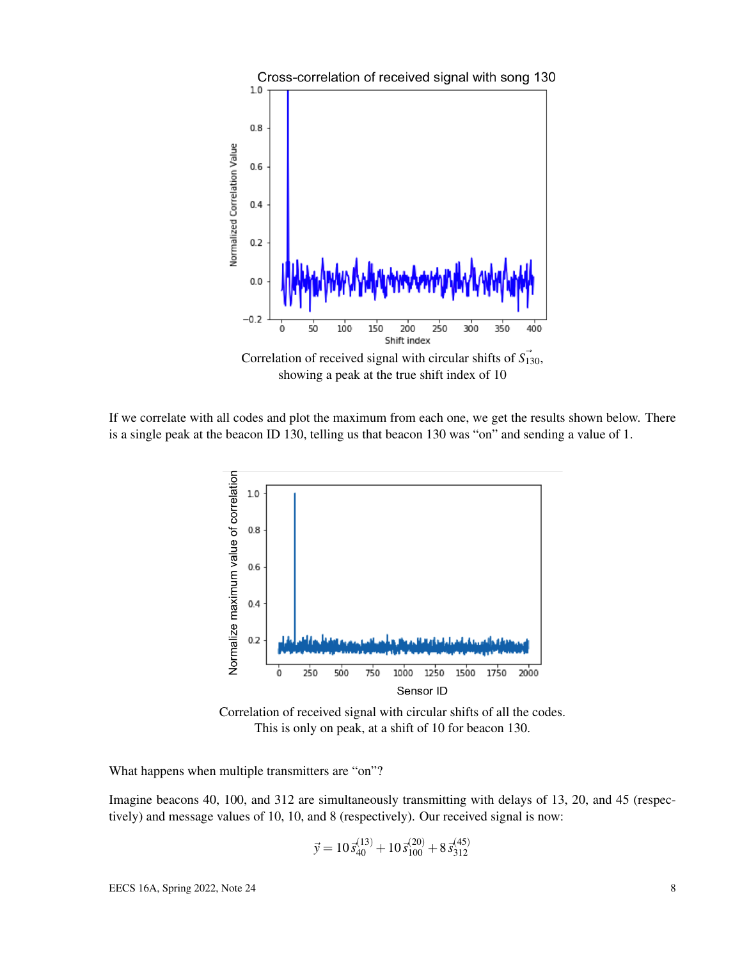

Correlation of received signal with circular shifts of  $\vec{S}_{130}$ , showing a peak at the true shift index of 10

If we correlate with all codes and plot the maximum from each one, we get the results shown below. There is a single peak at the beacon ID 130, telling us that beacon 130 was "on" and sending a value of 1.



Correlation of received signal with circular shifts of all the codes. This is only on peak, at a shift of 10 for beacon 130.

What happens when multiple transmitters are "on"?

Imagine beacons 40, 100, and 312 are simultaneously transmitting with delays of 13, 20, and 45 (respectively) and message values of 10, 10, and 8 (respectively). Our received signal is now:

$$
\vec{y} = 10\,\vec{s}_{40}^{(13)} + 10\,\vec{s}_{100}^{(20)} + 8\,\vec{s}_{312}^{(45)}
$$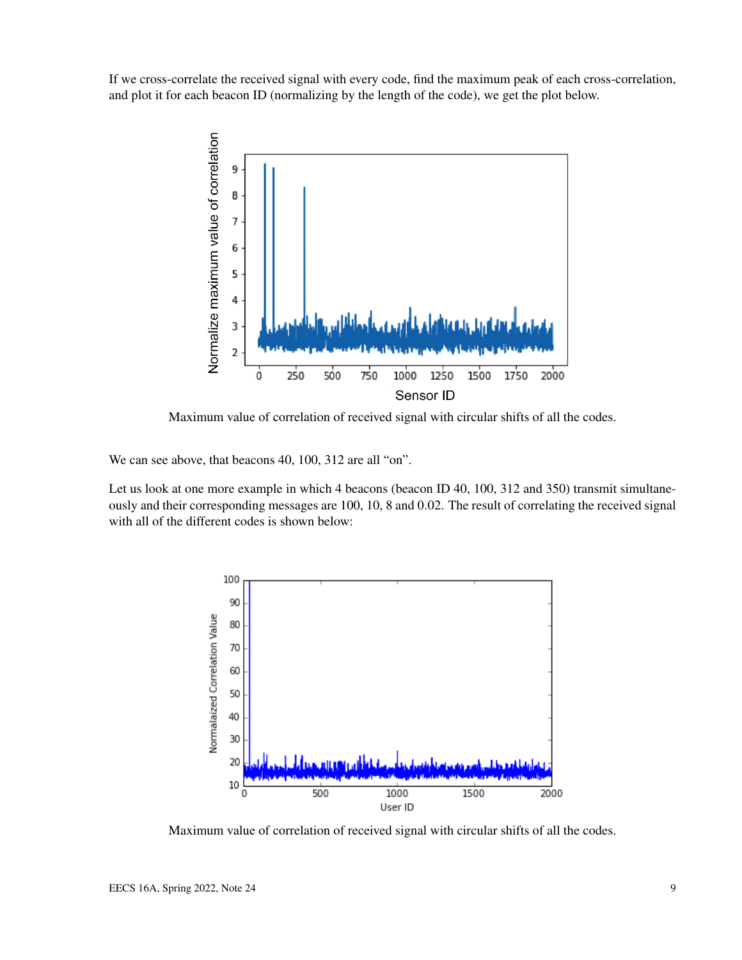If we cross-correlate the received signal with every code, find the maximum peak of each cross-correlation, and plot it for each beacon ID (normalizing by the length of the code), we get the plot below.



Maximum value of correlation of received signal with circular shifts of all the codes.

We can see above, that beacons 40, 100, 312 are all "on".

Let us look at one more example in which 4 beacons (beacon ID 40, 100, 312 and 350) transmit simultaneously and their corresponding messages are 100, 10, 8 and 0.02. The result of correlating the received signal with all of the different codes is shown below:



Maximum value of correlation of received signal with circular shifts of all the codes.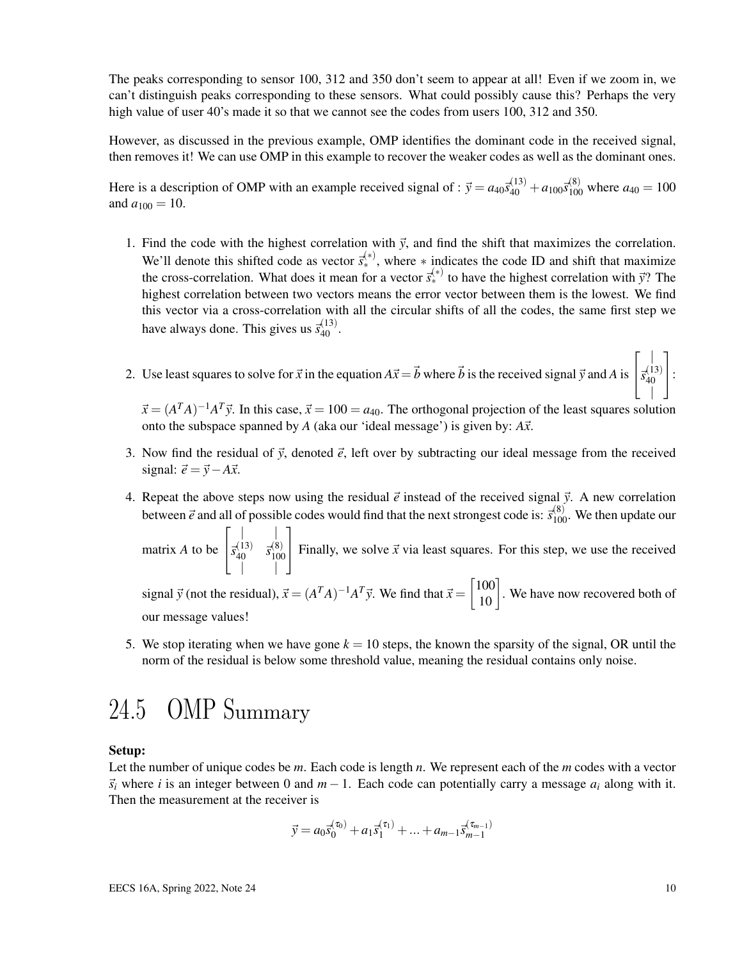The peaks corresponding to sensor 100, 312 and 350 don't seem to appear at all! Even if we zoom in, we can't distinguish peaks corresponding to these sensors. What could possibly cause this? Perhaps the very high value of user 40's made it so that we cannot see the codes from users 100, 312 and 350.

However, as discussed in the previous example, OMP identifies the dominant code in the received signal, then removes it! We can use OMP in this example to recover the weaker codes as well as the dominant ones.

Here is a description of OMP with an example received signal of :  $\vec{y} = a_{40}\vec{s}_{40}^{(13)} + a_{100}\vec{s}_{100}^{(8)}$  where  $a_{40} = 100$ and  $a_{100} = 10$ .

- 1. Find the code with the highest correlation with  $\vec{y}$ , and find the shift that maximizes the correlation. We'll denote this shifted code as vector  $\vec{s}_*^{(*)}$ , where  $*$  indicates the code ID and shift that maximize the cross-correlation. What does it mean for a vector  $\vec{s}_{*}^{(*)}$  to have the highest correlation with  $\vec{y}$ ? The highest correlation between two vectors means the error vector between them is the lowest. We find this vector via a cross-correlation with all the circular shifts of all the codes, the same first step we have always done. This gives us  $\bar{s}_{40}^{(13)}$ .
- 2. Use least squares to solve for  $\vec{x}$  in the equation  $A\vec{x} = \vec{b}$  where  $\vec{b}$  is the received signal  $\vec{y}$  and  $A$  is  $\sqrt{ }$  $\overline{1}$  $\vec{s}_{40}^{(13)}$ 40 | 1  $|\cdot$

 $\vec{x} = (A^T A)^{-1} A^T \vec{y}$ . In this case,  $\vec{x} = 100 = a_{40}$ . The orthogonal projection of the least squares solution onto the subspace spanned by  $A$  (aka our 'ideal message') is given by:  $A\vec{x}$ .

- 3. Now find the residual of  $\vec{y}$ , denoted  $\vec{e}$ , left over by subtracting our ideal message from the received signal:  $\vec{e} = \vec{y} - A\vec{x}$ .
- 4. Repeat the above steps now using the residual  $\vec{e}$  instead of the received signal  $\vec{y}$ . A new correlation between  $\vec{e}$  and all of possible codes would find that the next strongest code is:  $\vec{s}_{100}^{(8)}$ . We then update our

matrix *A* to be  $\sqrt{ }$  $\overline{1}$  $\| \cdot \|$  $\vec{s}_{40}^{(13)}$   $\vec{s}_{100}^{(8)}$  $\begin{bmatrix} 0 & 3 \\ 1 & 0 \end{bmatrix}$ 1 Finally, we solve  $\vec{x}$  via least squares. For this step, we use the received

signal  $\vec{y}$  (not the residual),  $\vec{x} = (A^T A)^{-1} A^T \vec{y}$ . We find that  $\vec{x} = \begin{bmatrix} 100 \\ 10 \end{bmatrix}$ . We have now recovered both of our message values!

5. We stop iterating when we have gone  $k = 10$  steps, the known the sparsity of the signal, OR until the norm of the residual is below some threshold value, meaning the residual contains only noise.

## 24.5 OMP Summary

### Setup:

Let the number of unique codes be *m*. Each code is length *n*. We represent each of the *m* codes with a vector  $\vec{s}_i$  where *i* is an integer between 0 and  $m-1$ . Each code can potentially carry a message  $a_i$  along with it. Then the measurement at the receiver is

$$
\vec{y} = a_0 \vec{s}_0^{(\tau_0)} + a_1 \vec{s}_1^{(\tau_1)} + \dots + a_{m-1} \vec{s}_{m-1}^{(\tau_{m-1})}
$$

|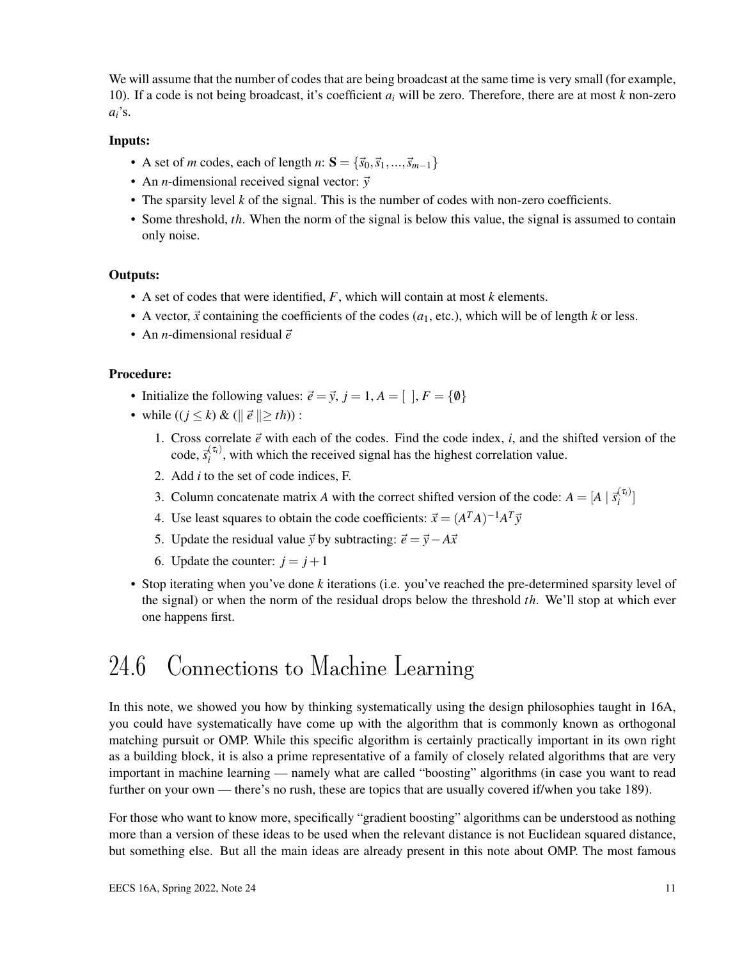We will assume that the number of codes that are being broadcast at the same time is very small (for example, 10). If a code is not being broadcast, it's coefficient *a<sup>i</sup>* will be zero. Therefore, there are at most *k* non-zero  $a_i$ 's.

### Inputs:

- A set of *m* codes, each of length *n*:  $S = {\vec{s_0}, \vec{s_1}, ..., \vec{s_{m-1}}}$
- An *n*-dimensional received signal vector:  $\vec{v}$
- The sparsity level *k* of the signal. This is the number of codes with non-zero coefficients.
- Some threshold, *th*. When the norm of the signal is below this value, the signal is assumed to contain only noise.

### Outputs:

- A set of codes that were identified, *F*, which will contain at most *k* elements.
- A vector,  $\vec{x}$  containing the coefficients of the codes ( $a_1$ , etc.), which will be of length  $k$  or less.
- An *n*-dimensional residual  $\vec{e}$

### Procedure:

- Initialize the following values:  $\vec{e} = \vec{y}$ ,  $j = 1$ ,  $A = [$   $], F = \{\emptyset\}$
- while  $((i \le k) \& (||\vec{e}|| > th))$ :
	- 1. Cross correlate  $\vec{e}$  with each of the codes. Find the code index, *i*, and the shifted version of the  $\c{code}, \vec{s}^{(\tau_i)}_i$  $\hat{a}_{i}^{(i)}$ , with which the received signal has the highest correlation value.
	- 2. Add *i* to the set of code indices, F.
	- 3. Column concatenate matrix *A* with the correct shifted version of the code:  $A = [A \mid \vec{s}_i^{(\tau_i)})$  $\binom{i}{i}$
	- 4. Use least squares to obtain the code coefficients:  $\vec{x} = (A^T A)^{-1} A^T \vec{y}$
	- 5. Update the residual value  $\vec{y}$  by subtracting:  $\vec{e} = \vec{y} A\vec{x}$
	- 6. Update the counter:  $j = j + 1$
- Stop iterating when you've done *k* iterations (i.e. you've reached the pre-determined sparsity level of the signal) or when the norm of the residual drops below the threshold *th*. We'll stop at which ever one happens first.

## 24.6 Connections to Machine Learning

In this note, we showed you how by thinking systematically using the design philosophies taught in 16A, you could have systematically have come up with the algorithm that is commonly known as orthogonal matching pursuit or OMP. While this specific algorithm is certainly practically important in its own right as a building block, it is also a prime representative of a family of closely related algorithms that are very important in machine learning — namely what are called "boosting" algorithms (in case you want to read further on your own — there's no rush, these are topics that are usually covered if/when you take 189).

For those who want to know more, specifically "gradient boosting" algorithms can be understood as nothing more than a version of these ideas to be used when the relevant distance is not Euclidean squared distance, but something else. But all the main ideas are already present in this note about OMP. The most famous